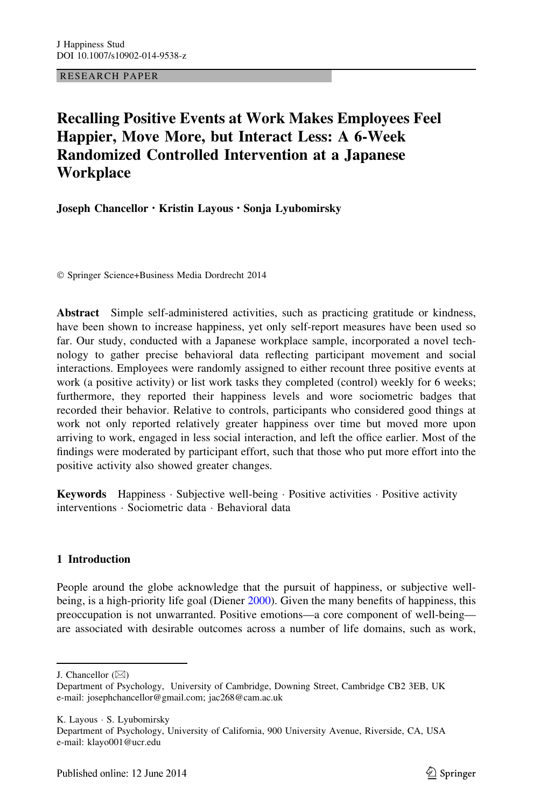RESEARCH PAPER

# Recalling Positive Events at Work Makes Employees Feel Happier, Move More, but Interact Less: A 6-Week Randomized Controlled Intervention at a Japanese **Workplace**

Joseph Chancellor • Kristin Layous • Sonja Lyubomirsky

- Springer Science+Business Media Dordrecht 2014

Abstract Simple self-administered activities, such as practicing gratitude or kindness, have been shown to increase happiness, yet only self-report measures have been used so far. Our study, conducted with a Japanese workplace sample, incorporated a novel technology to gather precise behavioral data reflecting participant movement and social interactions. Employees were randomly assigned to either recount three positive events at work (a positive activity) or list work tasks they completed (control) weekly for 6 weeks; furthermore, they reported their happiness levels and wore sociometric badges that recorded their behavior. Relative to controls, participants who considered good things at work not only reported relatively greater happiness over time but moved more upon arriving to work, engaged in less social interaction, and left the office earlier. Most of the findings were moderated by participant effort, such that those who put more effort into the positive activity also showed greater changes.

Keywords Happiness · Subjective well-being · Positive activities · Positive activity interventions - Sociometric data - Behavioral data

## 1 Introduction

People around the globe acknowledge that the pursuit of happiness, or subjective well-being, is a high-priority life goal (Diener [2000](#page-15-0)). Given the many benefits of happiness, this preoccupation is not unwarranted. Positive emotions—a core component of well-being are associated with desirable outcomes across a number of life domains, such as work,

J. Chancellor  $(\boxtimes)$ 

Department of Psychology, University of Cambridge, Downing Street, Cambridge CB2 3EB, UK e-mail: josephchancellor@gmail.com; jac268@cam.ac.uk

K. Layous - S. Lyubomirsky

Department of Psychology, University of California, 900 University Avenue, Riverside, CA, USA e-mail: klayo001@ucr.edu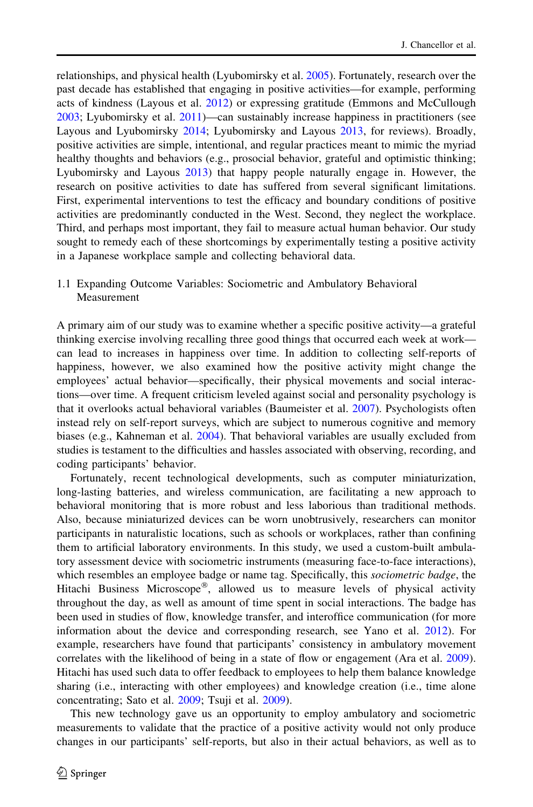relationships, and physical health (Lyubomirsky et al. [2005\)](#page-16-0). Fortunately, research over the past decade has established that engaging in positive activities—for example, performing acts of kindness (Layous et al. [2012\)](#page-16-0) or expressing gratitude (Emmons and McCullough [2003;](#page-15-0) Lyubomirsky et al. [2011\)](#page-16-0)—can sustainably increase happiness in practitioners (see Layous and Lyubomirsky [2014;](#page-15-0) Lyubomirsky and Layous [2013,](#page-16-0) for reviews). Broadly, positive activities are simple, intentional, and regular practices meant to mimic the myriad healthy thoughts and behaviors (e.g., prosocial behavior, grateful and optimistic thinking; Lyubomirsky and Layous [2013\)](#page-16-0) that happy people naturally engage in. However, the research on positive activities to date has suffered from several significant limitations. First, experimental interventions to test the efficacy and boundary conditions of positive activities are predominantly conducted in the West. Second, they neglect the workplace. Third, and perhaps most important, they fail to measure actual human behavior. Our study sought to remedy each of these shortcomings by experimentally testing a positive activity in a Japanese workplace sample and collecting behavioral data.

# 1.1 Expanding Outcome Variables: Sociometric and Ambulatory Behavioral Measurement

A primary aim of our study was to examine whether a specific positive activity—a grateful thinking exercise involving recalling three good things that occurred each week at work can lead to increases in happiness over time. In addition to collecting self-reports of happiness, however, we also examined how the positive activity might change the employees' actual behavior—specifically, their physical movements and social interactions—over time. A frequent criticism leveled against social and personality psychology is that it overlooks actual behavioral variables (Baumeister et al. [2007](#page-14-0)). Psychologists often instead rely on self-report surveys, which are subject to numerous cognitive and memory biases (e.g., Kahneman et al. [2004](#page-15-0)). That behavioral variables are usually excluded from studies is testament to the difficulties and hassles associated with observing, recording, and coding participants' behavior.

Fortunately, recent technological developments, such as computer miniaturization, long-lasting batteries, and wireless communication, are facilitating a new approach to behavioral monitoring that is more robust and less laborious than traditional methods. Also, because miniaturized devices can be worn unobtrusively, researchers can monitor participants in naturalistic locations, such as schools or workplaces, rather than confining them to artificial laboratory environments. In this study, we used a custom-built ambulatory assessment device with sociometric instruments (measuring face-to-face interactions), which resembles an employee badge or name tag. Specifically, this sociometric badge, the Hitachi Business Microscope®, allowed us to measure levels of physical activity throughout the day, as well as amount of time spent in social interactions. The badge has been used in studies of flow, knowledge transfer, and interoffice communication (for more information about the device and corresponding research, see Yano et al. [2012](#page-16-0)). For example, researchers have found that participants' consistency in ambulatory movement correlates with the likelihood of being in a state of flow or engagement (Ara et al. [2009](#page-14-0)). Hitachi has used such data to offer feedback to employees to help them balance knowledge sharing (i.e., interacting with other employees) and knowledge creation (i.e., time alone concentrating; Sato et al. [2009;](#page-16-0) Tsuji et al. [2009\)](#page-16-0).

This new technology gave us an opportunity to employ ambulatory and sociometric measurements to validate that the practice of a positive activity would not only produce changes in our participants' self-reports, but also in their actual behaviors, as well as to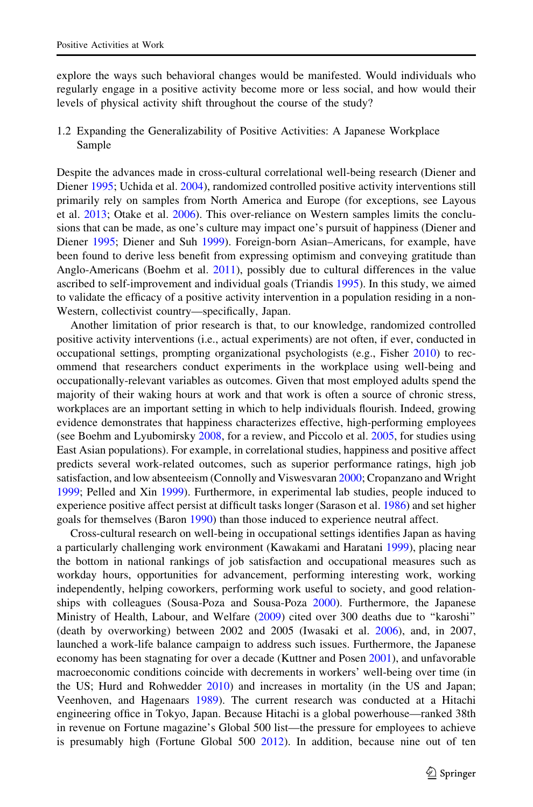explore the ways such behavioral changes would be manifested. Would individuals who regularly engage in a positive activity become more or less social, and how would their levels of physical activity shift throughout the course of the study?

1.2 Expanding the Generalizability of Positive Activities: A Japanese Workplace Sample

Despite the advances made in cross-cultural correlational well-being research (Diener and Diener [1995;](#page-15-0) Uchida et al. [2004\)](#page-16-0), randomized controlled positive activity interventions still primarily rely on samples from North America and Europe (for exceptions, see Layous et al. [2013](#page-15-0); Otake et al. [2006](#page-16-0)). This over-reliance on Western samples limits the conclusions that can be made, as one's culture may impact one's pursuit of happiness (Diener and Diener [1995](#page-15-0); Diener and Suh [1999](#page-15-0)). Foreign-born Asian–Americans, for example, have been found to derive less benefit from expressing optimism and conveying gratitude than Anglo-Americans (Boehm et al. [2011\)](#page-14-0), possibly due to cultural differences in the value ascribed to self-improvement and individual goals (Triandis [1995](#page-16-0)). In this study, we aimed to validate the efficacy of a positive activity intervention in a population residing in a non-Western, collectivist country—specifically, Japan.

Another limitation of prior research is that, to our knowledge, randomized controlled positive activity interventions (i.e., actual experiments) are not often, if ever, conducted in occupational settings, prompting organizational psychologists (e.g., Fisher [2010\)](#page-15-0) to recommend that researchers conduct experiments in the workplace using well-being and occupationally-relevant variables as outcomes. Given that most employed adults spend the majority of their waking hours at work and that work is often a source of chronic stress, workplaces are an important setting in which to help individuals flourish. Indeed, growing evidence demonstrates that happiness characterizes effective, high-performing employees (see Boehm and Lyubomirsky [2008,](#page-14-0) for a review, and Piccolo et al. [2005](#page-16-0), for studies using East Asian populations). For example, in correlational studies, happiness and positive affect predicts several work-related outcomes, such as superior performance ratings, high job satisfaction, and low absenteeism (Connolly and Viswesvaran [2000](#page-15-0); Cropanzano and Wright [1999;](#page-15-0) Pelled and Xin [1999\)](#page-16-0). Furthermore, in experimental lab studies, people induced to experience positive affect persist at difficult tasks longer (Sarason et al. [1986\)](#page-16-0) and set higher goals for themselves (Baron [1990](#page-14-0)) than those induced to experience neutral affect.

Cross-cultural research on well-being in occupational settings identifies Japan as having a particularly challenging work environment (Kawakami and Haratani [1999](#page-15-0)), placing near the bottom in national rankings of job satisfaction and occupational measures such as workday hours, opportunities for advancement, performing interesting work, working independently, helping coworkers, performing work useful to society, and good relationships with colleagues (Sousa-Poza and Sousa-Poza [2000](#page-16-0)). Furthermore, the Japanese Ministry of Health, Labour, and Welfare [\(2009\)](#page-16-0) cited over 300 deaths due to "karoshi" (death by overworking) between 2002 and 2005 (Iwasaki et al. [2006](#page-15-0)), and, in 2007, launched a work-life balance campaign to address such issues. Furthermore, the Japanese economy has been stagnating for over a decade (Kuttner and Posen [2001](#page-15-0)), and unfavorable macroeconomic conditions coincide with decrements in workers' well-being over time (in the US; Hurd and Rohwedder [2010](#page-15-0)) and increases in mortality (in the US and Japan; Veenhoven, and Hagenaars [1989](#page-16-0)). The current research was conducted at a Hitachi engineering office in Tokyo, Japan. Because Hitachi is a global powerhouse—ranked 38th in revenue on Fortune magazine's Global 500 list—the pressure for employees to achieve is presumably high (Fortune Global 500 [2012](#page-15-0)). In addition, because nine out of ten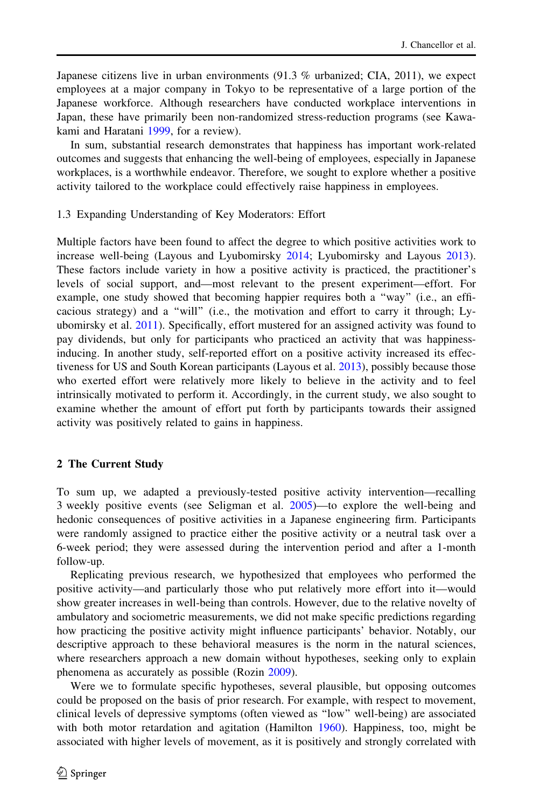Japanese citizens live in urban environments (91.3 % urbanized; CIA, 2011), we expect employees at a major company in Tokyo to be representative of a large portion of the Japanese workforce. Although researchers have conducted workplace interventions in Japan, these have primarily been non-randomized stress-reduction programs (see Kawakami and Haratani [1999,](#page-15-0) for a review).

In sum, substantial research demonstrates that happiness has important work-related outcomes and suggests that enhancing the well-being of employees, especially in Japanese workplaces, is a worthwhile endeavor. Therefore, we sought to explore whether a positive activity tailored to the workplace could effectively raise happiness in employees.

#### 1.3 Expanding Understanding of Key Moderators: Effort

Multiple factors have been found to affect the degree to which positive activities work to increase well-being (Layous and Lyubomirsky [2014](#page-15-0); Lyubomirsky and Layous [2013](#page-16-0)). These factors include variety in how a positive activity is practiced, the practitioner's levels of social support, and—most relevant to the present experiment—effort. For example, one study showed that becoming happier requires both a ''way'' (i.e., an efficacious strategy) and a ''will'' (i.e., the motivation and effort to carry it through; Lyubomirsky et al. [2011\)](#page-16-0). Specifically, effort mustered for an assigned activity was found to pay dividends, but only for participants who practiced an activity that was happinessinducing. In another study, self-reported effort on a positive activity increased its effectiveness for US and South Korean participants (Layous et al. [2013](#page-15-0)), possibly because those who exerted effort were relatively more likely to believe in the activity and to feel intrinsically motivated to perform it. Accordingly, in the current study, we also sought to examine whether the amount of effort put forth by participants towards their assigned activity was positively related to gains in happiness.

## 2 The Current Study

To sum up, we adapted a previously-tested positive activity intervention—recalling 3 weekly positive events (see Seligman et al. [2005\)](#page-16-0)—to explore the well-being and hedonic consequences of positive activities in a Japanese engineering firm. Participants were randomly assigned to practice either the positive activity or a neutral task over a 6-week period; they were assessed during the intervention period and after a 1-month follow-up.

Replicating previous research, we hypothesized that employees who performed the positive activity—and particularly those who put relatively more effort into it—would show greater increases in well-being than controls. However, due to the relative novelty of ambulatory and sociometric measurements, we did not make specific predictions regarding how practicing the positive activity might influence participants' behavior. Notably, our descriptive approach to these behavioral measures is the norm in the natural sciences, where researchers approach a new domain without hypotheses, seeking only to explain phenomena as accurately as possible (Rozin [2009](#page-16-0)).

Were we to formulate specific hypotheses, several plausible, but opposing outcomes could be proposed on the basis of prior research. For example, with respect to movement, clinical levels of depressive symptoms (often viewed as ''low'' well-being) are associated with both motor retardation and agitation (Hamilton [1960](#page-15-0)). Happiness, too, might be associated with higher levels of movement, as it is positively and strongly correlated with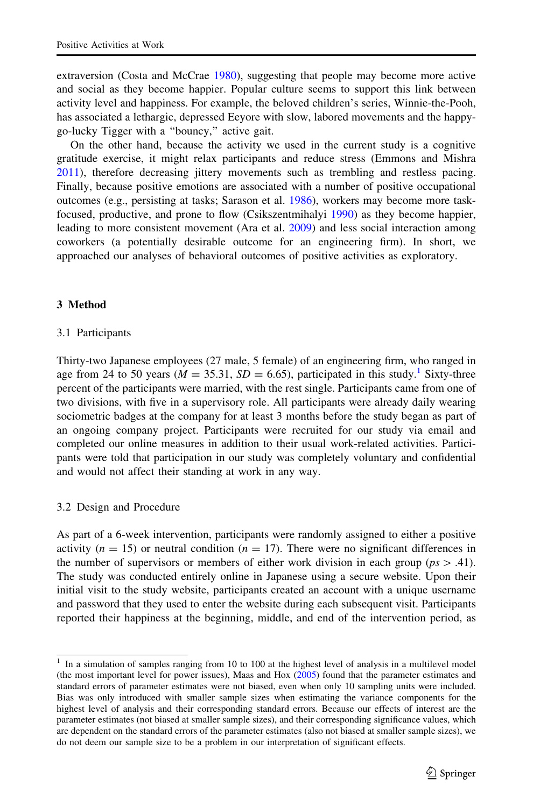extraversion (Costa and McCrae [1980](#page-15-0)), suggesting that people may become more active and social as they become happier. Popular culture seems to support this link between activity level and happiness. For example, the beloved children's series, Winnie-the-Pooh, has associated a lethargic, depressed Eeyore with slow, labored movements and the happygo-lucky Tigger with a ''bouncy,'' active gait.

On the other hand, because the activity we used in the current study is a cognitive gratitude exercise, it might relax participants and reduce stress (Emmons and Mishra [2011\)](#page-15-0), therefore decreasing jittery movements such as trembling and restless pacing. Finally, because positive emotions are associated with a number of positive occupational outcomes (e.g., persisting at tasks; Sarason et al. [1986](#page-16-0)), workers may become more taskfocused, productive, and prone to flow (Csikszentmihalyi [1990\)](#page-15-0) as they become happier, leading to more consistent movement (Ara et al. [2009](#page-14-0)) and less social interaction among coworkers (a potentially desirable outcome for an engineering firm). In short, we approached our analyses of behavioral outcomes of positive activities as exploratory.

# 3 Method

## 3.1 Participants

Thirty-two Japanese employees (27 male, 5 female) of an engineering firm, who ranged in age from 24 to 50 years ( $M = 35.31$ ,  $SD = 6.65$ ), participated in this study.<sup>1</sup> Sixty-three percent of the participants were married, with the rest single. Participants came from one of two divisions, with five in a supervisory role. All participants were already daily wearing sociometric badges at the company for at least 3 months before the study began as part of an ongoing company project. Participants were recruited for our study via email and completed our online measures in addition to their usual work-related activities. Participants were told that participation in our study was completely voluntary and confidential and would not affect their standing at work in any way.

## 3.2 Design and Procedure

As part of a 6-week intervention, participants were randomly assigned to either a positive activity ( $n = 15$ ) or neutral condition ( $n = 17$ ). There were no significant differences in the number of supervisors or members of either work division in each group ( $ps > .41$ ). The study was conducted entirely online in Japanese using a secure website. Upon their initial visit to the study website, participants created an account with a unique username and password that they used to enter the website during each subsequent visit. Participants reported their happiness at the beginning, middle, and end of the intervention period, as

<sup>&</sup>lt;sup>1</sup> In a simulation of samples ranging from 10 to 100 at the highest level of analysis in a multilevel model (the most important level for power issues), Maas and Hox [\(2005\)](#page-16-0) found that the parameter estimates and standard errors of parameter estimates were not biased, even when only 10 sampling units were included. Bias was only introduced with smaller sample sizes when estimating the variance components for the highest level of analysis and their corresponding standard errors. Because our effects of interest are the parameter estimates (not biased at smaller sample sizes), and their corresponding significance values, which are dependent on the standard errors of the parameter estimates (also not biased at smaller sample sizes), we do not deem our sample size to be a problem in our interpretation of significant effects.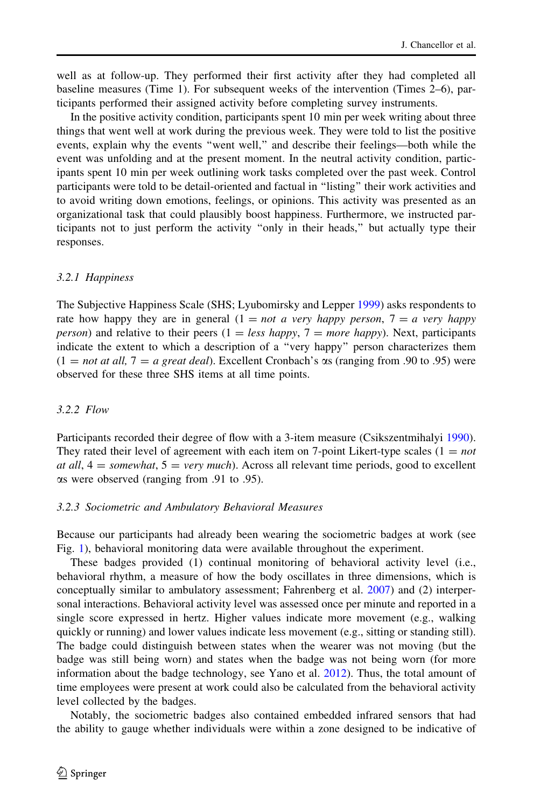well as at follow-up. They performed their first activity after they had completed all baseline measures (Time 1). For subsequent weeks of the intervention (Times 2–6), participants performed their assigned activity before completing survey instruments.

In the positive activity condition, participants spent 10 min per week writing about three things that went well at work during the previous week. They were told to list the positive events, explain why the events ''went well,'' and describe their feelings—both while the event was unfolding and at the present moment. In the neutral activity condition, participants spent 10 min per week outlining work tasks completed over the past week. Control participants were told to be detail-oriented and factual in ''listing'' their work activities and to avoid writing down emotions, feelings, or opinions. This activity was presented as an organizational task that could plausibly boost happiness. Furthermore, we instructed participants not to just perform the activity ''only in their heads,'' but actually type their responses.

## 3.2.1 Happiness

The Subjective Happiness Scale (SHS; Lyubomirsky and Lepper [1999\)](#page-16-0) asks respondents to rate how happy they are in general  $(1 = not a \text{ very happy person}, 7 = a \text{ very happy})$ *person*) and relative to their peers  $(1 = less happy, 7 = more happy)$ . Next, participants indicate the extent to which a description of a ''very happy'' person characterizes them  $(1 = not at all, 7 = a great deal).$  Excellent Cronbach's  $\alpha$ s (ranging from .90 to .95) were observed for these three SHS items at all time points.

## 3.2.2 Flow

Participants recorded their degree of flow with a 3-item measure (Csikszentmihalyi [1990](#page-15-0)). They rated their level of agreement with each item on 7-point Likert-type scales  $(1 = not$ at all,  $4 =$  somewhat,  $5 =$  very much). Across all relevant time periods, good to excellent as were observed (ranging from .91 to .95).

#### 3.2.3 Sociometric and Ambulatory Behavioral Measures

Because our participants had already been wearing the sociometric badges at work (see Fig. [1\)](#page-6-0), behavioral monitoring data were available throughout the experiment.

These badges provided (1) continual monitoring of behavioral activity level (i.e., behavioral rhythm, a measure of how the body oscillates in three dimensions, which is conceptually similar to ambulatory assessment; Fahrenberg et al. [2007](#page-15-0)) and (2) interpersonal interactions. Behavioral activity level was assessed once per minute and reported in a single score expressed in hertz. Higher values indicate more movement (e.g., walking quickly or running) and lower values indicate less movement (e.g., sitting or standing still). The badge could distinguish between states when the wearer was not moving (but the badge was still being worn) and states when the badge was not being worn (for more information about the badge technology, see Yano et al. [2012](#page-16-0)). Thus, the total amount of time employees were present at work could also be calculated from the behavioral activity level collected by the badges.

Notably, the sociometric badges also contained embedded infrared sensors that had the ability to gauge whether individuals were within a zone designed to be indicative of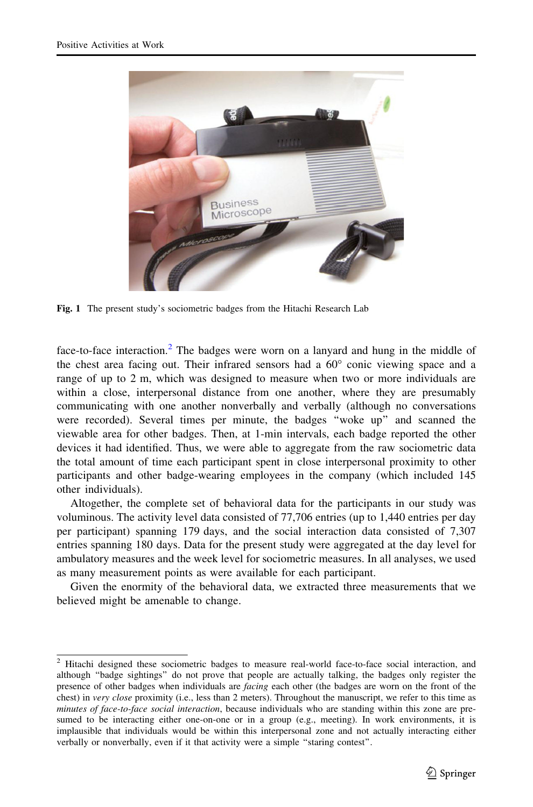<span id="page-6-0"></span>

Fig. 1 The present study's sociometric badges from the Hitachi Research Lab

face-to-face interaction.<sup>2</sup> The badges were worn on a lanyard and hung in the middle of the chest area facing out. Their infrared sensors had a  $60^{\circ}$  conic viewing space and a range of up to 2 m, which was designed to measure when two or more individuals are within a close, interpersonal distance from one another, where they are presumably communicating with one another nonverbally and verbally (although no conversations were recorded). Several times per minute, the badges ''woke up'' and scanned the viewable area for other badges. Then, at 1-min intervals, each badge reported the other devices it had identified. Thus, we were able to aggregate from the raw sociometric data the total amount of time each participant spent in close interpersonal proximity to other participants and other badge-wearing employees in the company (which included 145 other individuals).

Altogether, the complete set of behavioral data for the participants in our study was voluminous. The activity level data consisted of 77,706 entries (up to 1,440 entries per day per participant) spanning 179 days, and the social interaction data consisted of 7,307 entries spanning 180 days. Data for the present study were aggregated at the day level for ambulatory measures and the week level for sociometric measures. In all analyses, we used as many measurement points as were available for each participant.

Given the enormity of the behavioral data, we extracted three measurements that we believed might be amenable to change.

<sup>2</sup> Hitachi designed these sociometric badges to measure real-world face-to-face social interaction, and although ''badge sightings'' do not prove that people are actually talking, the badges only register the presence of other badges when individuals are *facing* each other (the badges are worn on the front of the chest) in very close proximity (i.e., less than 2 meters). Throughout the manuscript, we refer to this time as minutes of face-to-face social interaction, because individuals who are standing within this zone are presumed to be interacting either one-on-one or in a group (e.g., meeting). In work environments, it is implausible that individuals would be within this interpersonal zone and not actually interacting either verbally or nonverbally, even if it that activity were a simple ''staring contest''.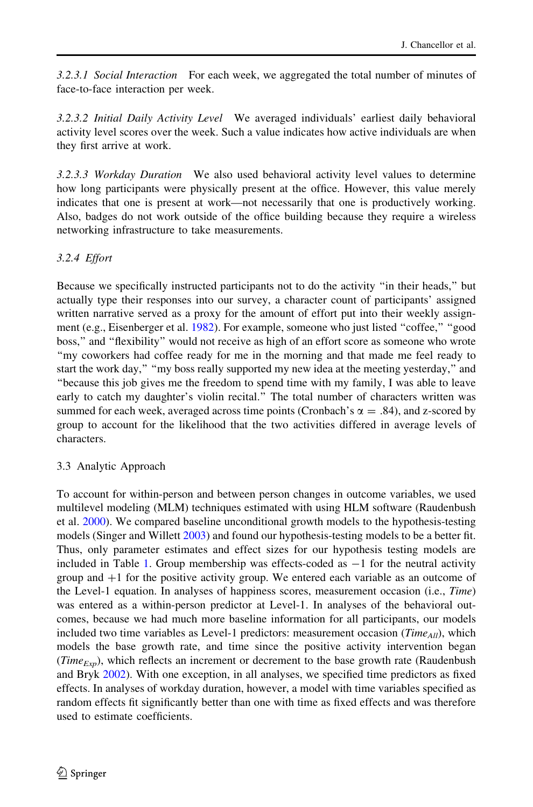3.2.3.1 Social Interaction For each week, we aggregated the total number of minutes of face-to-face interaction per week.

3.2.3.2 Initial Daily Activity Level We averaged individuals' earliest daily behavioral activity level scores over the week. Such a value indicates how active individuals are when they first arrive at work.

3.2.3.3 Workday Duration We also used behavioral activity level values to determine how long participants were physically present at the office. However, this value merely indicates that one is present at work—not necessarily that one is productively working. Also, badges do not work outside of the office building because they require a wireless networking infrastructure to take measurements.

# 3.2.4 Effort

Because we specifically instructed participants not to do the activity ''in their heads,'' but actually type their responses into our survey, a character count of participants' assigned written narrative served as a proxy for the amount of effort put into their weekly assign-ment (e.g., Eisenberger et al. [1982\)](#page-15-0). For example, someone who just listed "coffee," "good boss,'' and ''flexibility'' would not receive as high of an effort score as someone who wrote ''my coworkers had coffee ready for me in the morning and that made me feel ready to start the work day," "my boss really supported my new idea at the meeting yesterday," and ''because this job gives me the freedom to spend time with my family, I was able to leave early to catch my daughter's violin recital.'' The total number of characters written was summed for each week, averaged across time points (Cronbach's  $\alpha = .84$ ), and z-scored by group to account for the likelihood that the two activities differed in average levels of characters.

# 3.3 Analytic Approach

To account for within-person and between person changes in outcome variables, we used multilevel modeling (MLM) techniques estimated with using HLM software (Raudenbush et al. [2000](#page-16-0)). We compared baseline unconditional growth models to the hypothesis-testing models (Singer and Willett [2003](#page-16-0)) and found our hypothesis-testing models to be a better fit. Thus, only parameter estimates and effect sizes for our hypothesis testing models are included in Table [1.](#page-8-0) Group membership was effects-coded as  $-1$  for the neutral activity group and  $+1$  for the positive activity group. We entered each variable as an outcome of the Level-1 equation. In analyses of happiness scores, measurement occasion (i.e., *Time*) was entered as a within-person predictor at Level-1. In analyses of the behavioral outcomes, because we had much more baseline information for all participants, our models included two time variables as Level-1 predictors: measurement occasion ( $Time_{All}$ ), which models the base growth rate, and time since the positive activity intervention began (Time<sub>Exp</sub>), which reflects an increment or decrement to the base growth rate (Raudenbush and Bryk [2002\)](#page-16-0). With one exception, in all analyses, we specified time predictors as fixed effects. In analyses of workday duration, however, a model with time variables specified as random effects fit significantly better than one with time as fixed effects and was therefore used to estimate coefficients.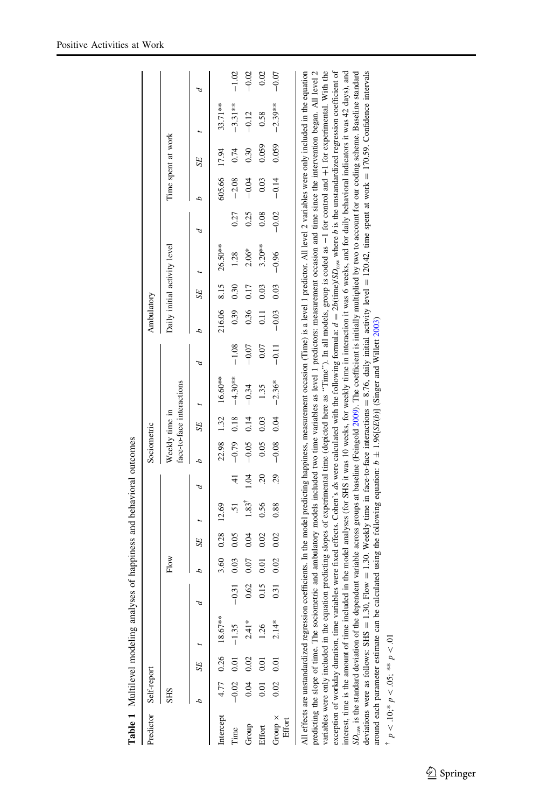<span id="page-8-0"></span>

|                       |                      |      | Table 1 Multilevel modeling analyses of happiness and behavioral outcomes |         |      |                 |                     |      |                |      |                                                                                                                              |         |                   |      |                              |         |         |                    |                                                                                                                                                                                                                                                                                                                                                                                                                                                                                                                                                                                                                                                                                                                                                                                                                                                                                                                                                                                                                                                                                                                                                                                                                                                                                                                                                                                                                                                                           |         |
|-----------------------|----------------------|------|---------------------------------------------------------------------------|---------|------|-----------------|---------------------|------|----------------|------|------------------------------------------------------------------------------------------------------------------------------|---------|-------------------|------|------------------------------|---------|---------|--------------------|---------------------------------------------------------------------------------------------------------------------------------------------------------------------------------------------------------------------------------------------------------------------------------------------------------------------------------------------------------------------------------------------------------------------------------------------------------------------------------------------------------------------------------------------------------------------------------------------------------------------------------------------------------------------------------------------------------------------------------------------------------------------------------------------------------------------------------------------------------------------------------------------------------------------------------------------------------------------------------------------------------------------------------------------------------------------------------------------------------------------------------------------------------------------------------------------------------------------------------------------------------------------------------------------------------------------------------------------------------------------------------------------------------------------------------------------------------------------------|---------|
| Predictor Self-report |                      |      |                                                                           |         |      |                 |                     |      | Sociometric    |      |                                                                                                                              |         | Ambulatory        |      |                              |         |         |                    |                                                                                                                                                                                                                                                                                                                                                                                                                                                                                                                                                                                                                                                                                                                                                                                                                                                                                                                                                                                                                                                                                                                                                                                                                                                                                                                                                                                                                                                                           |         |
|                       | <b>SHS</b>           |      |                                                                           |         | Flow |                 |                     |      | Weekly time in |      | face-to-face interactions                                                                                                    |         |                   |      | Daily initial activity level |         |         | Time spent at work |                                                                                                                                                                                                                                                                                                                                                                                                                                                                                                                                                                                                                                                                                                                                                                                                                                                                                                                                                                                                                                                                                                                                                                                                                                                                                                                                                                                                                                                                           |         |
|                       |                      | SE   |                                                                           |         |      | SE <sub>.</sub> |                     |      | 4              | SE   |                                                                                                                              | Þ       |                   | SE   |                              | d       | 4       | SE                 |                                                                                                                                                                                                                                                                                                                                                                                                                                                                                                                                                                                                                                                                                                                                                                                                                                                                                                                                                                                                                                                                                                                                                                                                                                                                                                                                                                                                                                                                           |         |
|                       |                      |      | Intercept $4.77$ 0.26 18.67**                                             |         | 3.60 | 0.28            | 12.69               |      | 22.98          | 1.32 | 16.60**                                                                                                                      |         | 216.06            | 8.15 | $26.50**$                    |         | 605.66  | 17.94              | 33.71**                                                                                                                                                                                                                                                                                                                                                                                                                                                                                                                                                                                                                                                                                                                                                                                                                                                                                                                                                                                                                                                                                                                                                                                                                                                                                                                                                                                                                                                                   |         |
| Time                  | $-0.02$ 0.01 $-1.35$ |      |                                                                           | $-0.31$ | 0.03 | 0.05            | 51                  | ₹    | $-0.79$        | 0.18 | $-4.30**$                                                                                                                    | $-1.08$ | 0.39              | 0.30 | 1.28                         | 0.27    | $-2.08$ | 0.74               | $-3.31***$                                                                                                                                                                                                                                                                                                                                                                                                                                                                                                                                                                                                                                                                                                                                                                                                                                                                                                                                                                                                                                                                                                                                                                                                                                                                                                                                                                                                                                                                | $-1.02$ |
| Group                 | 0.04                 | 0.02 | $2.41*$                                                                   | 0.62    | 0.07 | 0.04            | $1.83$ <sup>T</sup> | 1.04 | $-0.05$        | 0.14 | $-0.34$                                                                                                                      | $-0.07$ | 0.36              | 0.17 | $2.06*$                      | 0.25    | $-0.04$ | 0.30               | $-0.12$                                                                                                                                                                                                                                                                                                                                                                                                                                                                                                                                                                                                                                                                                                                                                                                                                                                                                                                                                                                                                                                                                                                                                                                                                                                                                                                                                                                                                                                                   | $-0.02$ |
| Effort                | 0.01                 | 0.01 | 1.26                                                                      | 0.15    | 0.01 | 0.02            | 0.56                | 20   | 0.05           | 0.03 | 1.35                                                                                                                         | 0.07    | $\overline{0.11}$ | 0.03 | $3.20**$                     | 0.08    | 0.03    | 0.059              | 0.58                                                                                                                                                                                                                                                                                                                                                                                                                                                                                                                                                                                                                                                                                                                                                                                                                                                                                                                                                                                                                                                                                                                                                                                                                                                                                                                                                                                                                                                                      | 0.02    |
| Group ×<br>Effort     | 0.02                 | 0.01 | $2.14*$                                                                   | 0.31    | 0.02 | 0.02            | 0.88                | 29   | $-0.08$        | 0.04 | $-2.36*$                                                                                                                     | $-0.11$ | $-0.03$           | 0.03 | $-0.96$                      | $-0.02$ | $-0.14$ | 0.059              | $-2.39***$                                                                                                                                                                                                                                                                                                                                                                                                                                                                                                                                                                                                                                                                                                                                                                                                                                                                                                                                                                                                                                                                                                                                                                                                                                                                                                                                                                                                                                                                | $-0.07$ |
|                       |                      |      |                                                                           |         |      |                 |                     |      |                |      | around each parameter estimate can be calculated using the following equation: $b \pm 1.96[SE(b)]$ (Singer and Willett 2003) |         |                   |      |                              |         |         |                    | variables were only included in the equation predicting slopes of experimental time (depicted here as "Time"). In all models, group is coded as $-1$ for control and $+1$ for experimental. With the<br>deviations were as follows: SHS = 1.30, RIow = 1.30. Weekly time in face-to-face interactions = 8.76, daily initial activity level = 120.42, time spent at work = 170.59. Confidence intervals<br>All effects are unstandardized regression coefficients. In the model predicting happiness, measurement occasion (Time) is a level 1 predictor. All level 2 variables were only included in the equation<br>predicting the slope of time. The sociometric and ambulatory models included two time variables as level 1 predictors: measurement occasion and time since the intervention began. All level 2<br>exception of workday duration, time variables were fixed effects. Cohen's ds were calculated with the following formulat $d = 2b$ (time)/SD <sub>raw</sub> where b is the unstandardized regression coefficient of<br>interest, time is the amount of time included in the model analyses (for SHS it was 10 weeks, for weekly time in interaction it was 6 weeks, and for daily behavioral indicators it was 42 days), and<br>$3D_{\text{raw}}$ is the standard deviation of the dependent variable across groups at baseline (Feingold 2009). The coefficient is initially multiplied by two to account for our coding scheme. Baseline standard |         |

 $^{\dagger}$   $p < .10; ^{\ast}$   $p < .05;$   $^{**}$   $p < .01$  $p\lt 10; * p\lt 0.05; ** p\lt 0.1$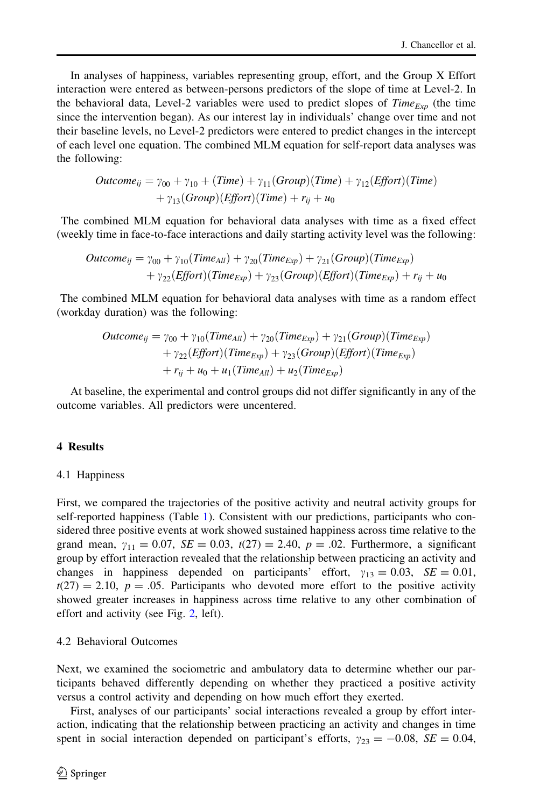In analyses of happiness, variables representing group, effort, and the Group X Effort interaction were entered as between-persons predictors of the slope of time at Level-2. In the behavioral data, Level-2 variables were used to predict slopes of  $Time_{Exp}$  (the time since the intervention began). As our interest lay in individuals' change over time and not their baseline levels, no Level-2 predictors were entered to predict changes in the intercept of each level one equation. The combined MLM equation for self-report data analyses was the following:

$$
Outcome_{ij} = \gamma_{00} + \gamma_{10} + (Time) + \gamma_{11}(Group)(Time) + \gamma_{12}(Effort)(Time) + \gamma_{13}(Group)(Effort)(Time) + r_{ij} + u_0
$$

The combined MLM equation for behavioral data analyses with time as a fixed effect (weekly time in face-to-face interactions and daily starting activity level was the following:

$$
Outcome_{ij} = \gamma_{00} + \gamma_{10}(Time_{All}) + \gamma_{20}(Time_{Exp}) + \gamma_{21}(Group)(Time_{Exp})
$$
  
+ 
$$
\gamma_{22}(Effort)(Time_{Exp}) + \gamma_{23}(Group)(Effort)(Time_{Exp}) + r_{ij} + u_0
$$

The combined MLM equation for behavioral data analyses with time as a random effect (workday duration) was the following:

$$
Outcome_{ij} = \gamma_{00} + \gamma_{10}(Time_{All}) + \gamma_{20}(Time_{Exp}) + \gamma_{21}(Group)(Time_{Exp})
$$
  
+ 
$$
\gamma_{22}(Effort)(Time_{Exp}) + \gamma_{23}(Group)(Effort)(Time_{Exp})
$$
  
+ 
$$
r_{ij} + u_0 + u_1(Time_{All}) + u_2(Time_{Exp})
$$

At baseline, the experimental and control groups did not differ significantly in any of the outcome variables. All predictors were uncentered.

## 4 Results

#### 4.1 Happiness

First, we compared the trajectories of the positive activity and neutral activity groups for self-reported happiness (Table [1](#page-8-0)). Consistent with our predictions, participants who considered three positive events at work showed sustained happiness across time relative to the grand mean,  $\gamma_{11} = 0.07$ ,  $SE = 0.03$ ,  $t(27) = 2.40$ ,  $p = .02$ . Furthermore, a significant group by effort interaction revealed that the relationship between practicing an activity and changes in happiness depended on participants' effort,  $\gamma_{13} = 0.03$ ,  $SE = 0.01$ ,  $t(27) = 2.10$ ,  $p = .05$ . Participants who devoted more effort to the positive activity showed greater increases in happiness across time relative to any other combination of effort and activity (see Fig. [2,](#page-10-0) left).

#### 4.2 Behavioral Outcomes

Next, we examined the sociometric and ambulatory data to determine whether our participants behaved differently depending on whether they practiced a positive activity versus a control activity and depending on how much effort they exerted.

First, analyses of our participants' social interactions revealed a group by effort interaction, indicating that the relationship between practicing an activity and changes in time spent in social interaction depended on participant's efforts,  $\gamma_{23} = -0.08$ ,  $SE = 0.04$ ,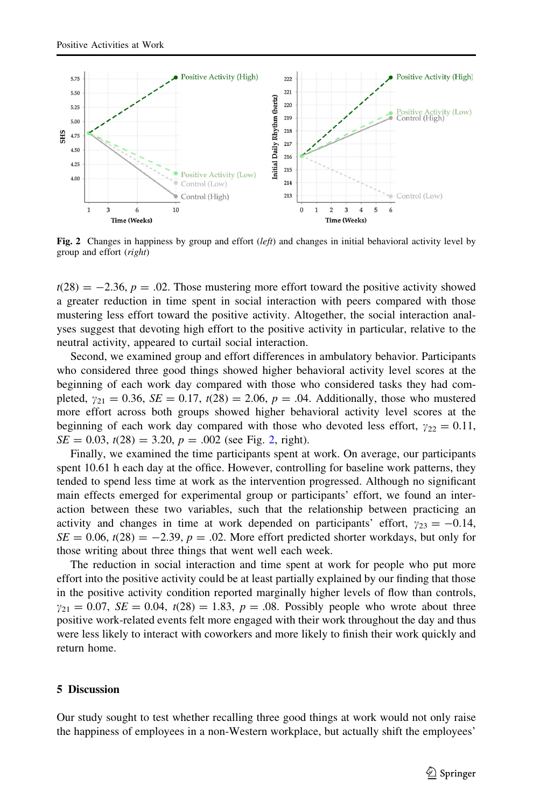<span id="page-10-0"></span>

Fig. 2 Changes in happiness by group and effort  $(left)$  and changes in initial behavioral activity level by group and effort (right)

 $t(28) = -2.36$ ,  $p = .02$ . Those mustering more effort toward the positive activity showed a greater reduction in time spent in social interaction with peers compared with those mustering less effort toward the positive activity. Altogether, the social interaction analyses suggest that devoting high effort to the positive activity in particular, relative to the neutral activity, appeared to curtail social interaction.

Second, we examined group and effort differences in ambulatory behavior. Participants who considered three good things showed higher behavioral activity level scores at the beginning of each work day compared with those who considered tasks they had completed,  $y_{21} = 0.36$ ,  $SE = 0.17$ ,  $t(28) = 2.06$ ,  $p = .04$ . Additionally, those who mustered more effort across both groups showed higher behavioral activity level scores at the beginning of each work day compared with those who devoted less effort,  $\gamma_{22} = 0.11$ ,  $SE = 0.03$ ,  $t(28) = 3.20$ ,  $p = .002$  (see Fig. 2, right).

Finally, we examined the time participants spent at work. On average, our participants spent 10.61 h each day at the office. However, controlling for baseline work patterns, they tended to spend less time at work as the intervention progressed. Although no significant main effects emerged for experimental group or participants' effort, we found an interaction between these two variables, such that the relationship between practicing an activity and changes in time at work depended on participants' effort,  $\gamma_{23} = -0.14$ ,  $SE = 0.06$ ,  $t(28) = -2.39$ ,  $p = .02$ . More effort predicted shorter workdays, but only for those writing about three things that went well each week.

The reduction in social interaction and time spent at work for people who put more effort into the positive activity could be at least partially explained by our finding that those in the positive activity condition reported marginally higher levels of flow than controls,  $y_{21} = 0.07$ ,  $SE = 0.04$ ,  $t(28) = 1.83$ ,  $p = .08$ . Possibly people who wrote about three positive work-related events felt more engaged with their work throughout the day and thus were less likely to interact with coworkers and more likely to finish their work quickly and return home.

## 5 Discussion

Our study sought to test whether recalling three good things at work would not only raise the happiness of employees in a non-Western workplace, but actually shift the employees'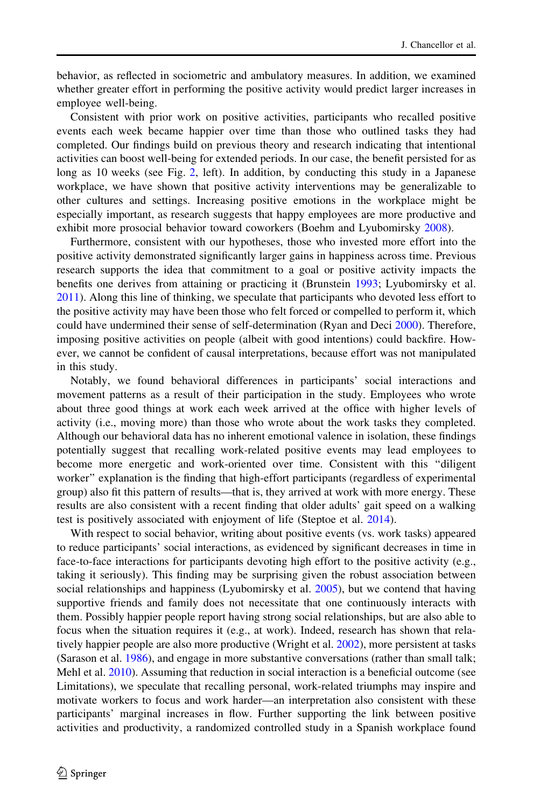behavior, as reflected in sociometric and ambulatory measures. In addition, we examined whether greater effort in performing the positive activity would predict larger increases in employee well-being.

Consistent with prior work on positive activities, participants who recalled positive events each week became happier over time than those who outlined tasks they had completed. Our findings build on previous theory and research indicating that intentional activities can boost well-being for extended periods. In our case, the benefit persisted for as long as 10 weeks (see Fig. [2](#page-10-0), left). In addition, by conducting this study in a Japanese workplace, we have shown that positive activity interventions may be generalizable to other cultures and settings. Increasing positive emotions in the workplace might be especially important, as research suggests that happy employees are more productive and exhibit more prosocial behavior toward coworkers (Boehm and Lyubomirsky [2008](#page-14-0)).

Furthermore, consistent with our hypotheses, those who invested more effort into the positive activity demonstrated significantly larger gains in happiness across time. Previous research supports the idea that commitment to a goal or positive activity impacts the benefits one derives from attaining or practicing it (Brunstein [1993;](#page-15-0) Lyubomirsky et al. [2011\)](#page-16-0). Along this line of thinking, we speculate that participants who devoted less effort to the positive activity may have been those who felt forced or compelled to perform it, which could have undermined their sense of self-determination (Ryan and Deci [2000\)](#page-16-0). Therefore, imposing positive activities on people (albeit with good intentions) could backfire. However, we cannot be confident of causal interpretations, because effort was not manipulated in this study.

Notably, we found behavioral differences in participants' social interactions and movement patterns as a result of their participation in the study. Employees who wrote about three good things at work each week arrived at the office with higher levels of activity (i.e., moving more) than those who wrote about the work tasks they completed. Although our behavioral data has no inherent emotional valence in isolation, these findings potentially suggest that recalling work-related positive events may lead employees to become more energetic and work-oriented over time. Consistent with this ''diligent worker'' explanation is the finding that high-effort participants (regardless of experimental group) also fit this pattern of results—that is, they arrived at work with more energy. These results are also consistent with a recent finding that older adults' gait speed on a walking test is positively associated with enjoyment of life (Steptoe et al. [2014\)](#page-16-0).

With respect to social behavior, writing about positive events (vs. work tasks) appeared to reduce participants' social interactions, as evidenced by significant decreases in time in face-to-face interactions for participants devoting high effort to the positive activity (e.g., taking it seriously). This finding may be surprising given the robust association between social relationships and happiness (Lyubomirsky et al. [2005\)](#page-16-0), but we contend that having supportive friends and family does not necessitate that one continuously interacts with them. Possibly happier people report having strong social relationships, but are also able to focus when the situation requires it (e.g., at work). Indeed, research has shown that relatively happier people are also more productive (Wright et al. [2002\)](#page-16-0), more persistent at tasks (Sarason et al. [1986](#page-16-0)), and engage in more substantive conversations (rather than small talk; Mehl et al. [2010\)](#page-16-0). Assuming that reduction in social interaction is a beneficial outcome (see Limitations), we speculate that recalling personal, work-related triumphs may inspire and motivate workers to focus and work harder—an interpretation also consistent with these participants' marginal increases in flow. Further supporting the link between positive activities and productivity, a randomized controlled study in a Spanish workplace found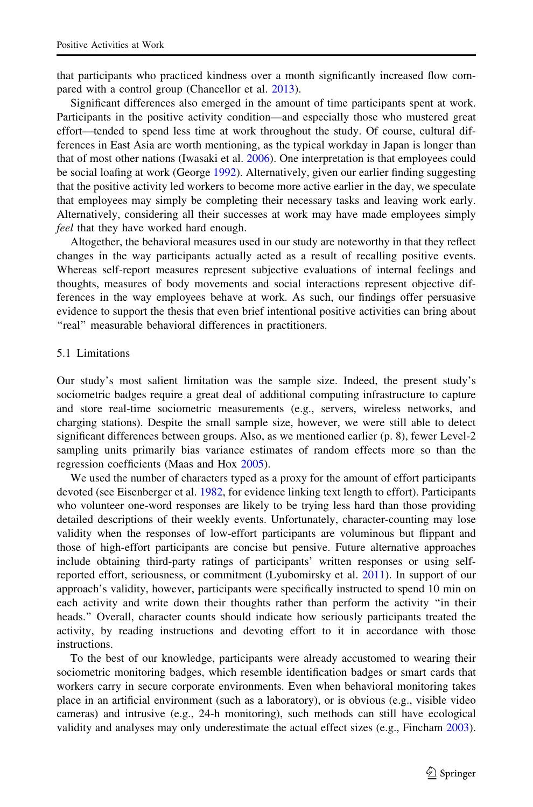that participants who practiced kindness over a month significantly increased flow compared with a control group (Chancellor et al. [2013](#page-15-0)).

Significant differences also emerged in the amount of time participants spent at work. Participants in the positive activity condition—and especially those who mustered great effort—tended to spend less time at work throughout the study. Of course, cultural differences in East Asia are worth mentioning, as the typical workday in Japan is longer than that of most other nations (Iwasaki et al. [2006](#page-15-0)). One interpretation is that employees could be social loafing at work (George [1992\)](#page-15-0). Alternatively, given our earlier finding suggesting that the positive activity led workers to become more active earlier in the day, we speculate that employees may simply be completing their necessary tasks and leaving work early. Alternatively, considering all their successes at work may have made employees simply feel that they have worked hard enough.

Altogether, the behavioral measures used in our study are noteworthy in that they reflect changes in the way participants actually acted as a result of recalling positive events. Whereas self-report measures represent subjective evaluations of internal feelings and thoughts, measures of body movements and social interactions represent objective differences in the way employees behave at work. As such, our findings offer persuasive evidence to support the thesis that even brief intentional positive activities can bring about "real" measurable behavioral differences in practitioners.

## 5.1 Limitations

Our study's most salient limitation was the sample size. Indeed, the present study's sociometric badges require a great deal of additional computing infrastructure to capture and store real-time sociometric measurements (e.g., servers, wireless networks, and charging stations). Despite the small sample size, however, we were still able to detect significant differences between groups. Also, as we mentioned earlier (p. 8), fewer Level-2 sampling units primarily bias variance estimates of random effects more so than the regression coefficients (Maas and Hox [2005\)](#page-16-0).

We used the number of characters typed as a proxy for the amount of effort participants devoted (see Eisenberger et al. [1982,](#page-15-0) for evidence linking text length to effort). Participants who volunteer one-word responses are likely to be trying less hard than those providing detailed descriptions of their weekly events. Unfortunately, character-counting may lose validity when the responses of low-effort participants are voluminous but flippant and those of high-effort participants are concise but pensive. Future alternative approaches include obtaining third-party ratings of participants' written responses or using selfreported effort, seriousness, or commitment (Lyubomirsky et al. [2011\)](#page-16-0). In support of our approach's validity, however, participants were specifically instructed to spend 10 min on each activity and write down their thoughts rather than perform the activity ''in their heads.'' Overall, character counts should indicate how seriously participants treated the activity, by reading instructions and devoting effort to it in accordance with those instructions.

To the best of our knowledge, participants were already accustomed to wearing their sociometric monitoring badges, which resemble identification badges or smart cards that workers carry in secure corporate environments. Even when behavioral monitoring takes place in an artificial environment (such as a laboratory), or is obvious (e.g., visible video cameras) and intrusive (e.g., 24-h monitoring), such methods can still have ecological validity and analyses may only underestimate the actual effect sizes (e.g., Fincham [2003](#page-15-0)).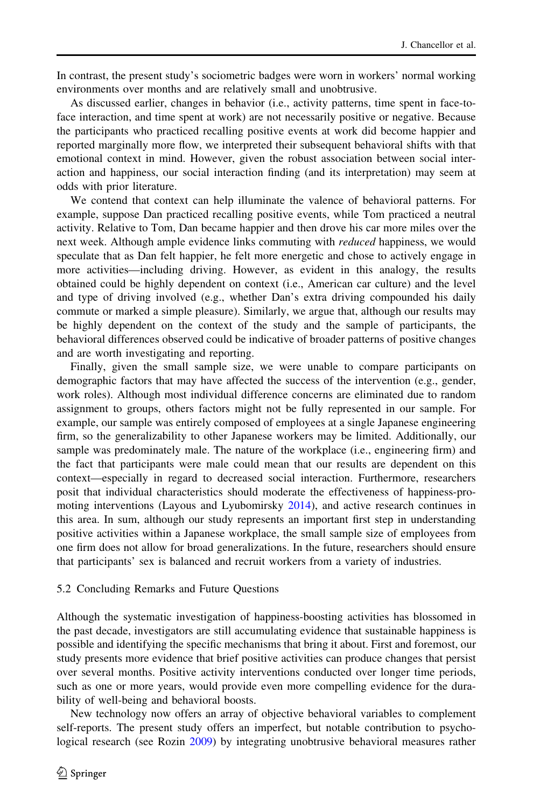In contrast, the present study's sociometric badges were worn in workers' normal working environments over months and are relatively small and unobtrusive.

As discussed earlier, changes in behavior (i.e., activity patterns, time spent in face-toface interaction, and time spent at work) are not necessarily positive or negative. Because the participants who practiced recalling positive events at work did become happier and reported marginally more flow, we interpreted their subsequent behavioral shifts with that emotional context in mind. However, given the robust association between social interaction and happiness, our social interaction finding (and its interpretation) may seem at odds with prior literature.

We contend that context can help illuminate the valence of behavioral patterns. For example, suppose Dan practiced recalling positive events, while Tom practiced a neutral activity. Relative to Tom, Dan became happier and then drove his car more miles over the next week. Although ample evidence links commuting with *reduced* happiness, we would speculate that as Dan felt happier, he felt more energetic and chose to actively engage in more activities—including driving. However, as evident in this analogy, the results obtained could be highly dependent on context (i.e., American car culture) and the level and type of driving involved (e.g., whether Dan's extra driving compounded his daily commute or marked a simple pleasure). Similarly, we argue that, although our results may be highly dependent on the context of the study and the sample of participants, the behavioral differences observed could be indicative of broader patterns of positive changes and are worth investigating and reporting.

Finally, given the small sample size, we were unable to compare participants on demographic factors that may have affected the success of the intervention (e.g., gender, work roles). Although most individual difference concerns are eliminated due to random assignment to groups, others factors might not be fully represented in our sample. For example, our sample was entirely composed of employees at a single Japanese engineering firm, so the generalizability to other Japanese workers may be limited. Additionally, our sample was predominately male. The nature of the workplace (i.e., engineering firm) and the fact that participants were male could mean that our results are dependent on this context—especially in regard to decreased social interaction. Furthermore, researchers posit that individual characteristics should moderate the effectiveness of happiness-promoting interventions (Layous and Lyubomirsky [2014\)](#page-15-0), and active research continues in this area. In sum, although our study represents an important first step in understanding positive activities within a Japanese workplace, the small sample size of employees from one firm does not allow for broad generalizations. In the future, researchers should ensure that participants' sex is balanced and recruit workers from a variety of industries.

#### 5.2 Concluding Remarks and Future Questions

Although the systematic investigation of happiness-boosting activities has blossomed in the past decade, investigators are still accumulating evidence that sustainable happiness is possible and identifying the specific mechanisms that bring it about. First and foremost, our study presents more evidence that brief positive activities can produce changes that persist over several months. Positive activity interventions conducted over longer time periods, such as one or more years, would provide even more compelling evidence for the durability of well-being and behavioral boosts.

New technology now offers an array of objective behavioral variables to complement self-reports. The present study offers an imperfect, but notable contribution to psychological research (see Rozin [2009](#page-16-0)) by integrating unobtrusive behavioral measures rather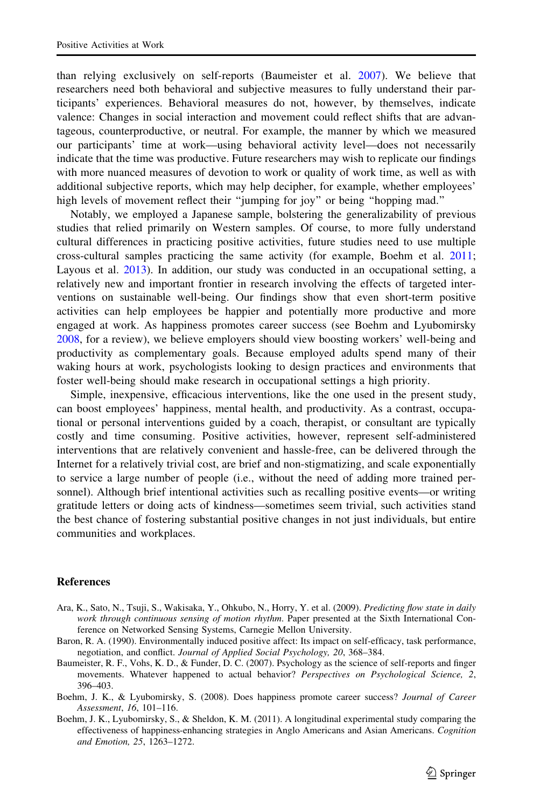<span id="page-14-0"></span>than relying exclusively on self-reports (Baumeister et al. 2007). We believe that researchers need both behavioral and subjective measures to fully understand their participants' experiences. Behavioral measures do not, however, by themselves, indicate valence: Changes in social interaction and movement could reflect shifts that are advantageous, counterproductive, or neutral. For example, the manner by which we measured our participants' time at work—using behavioral activity level—does not necessarily indicate that the time was productive. Future researchers may wish to replicate our findings with more nuanced measures of devotion to work or quality of work time, as well as with additional subjective reports, which may help decipher, for example, whether employees' high levels of movement reflect their ''jumping for joy'' or being ''hopping mad.''

Notably, we employed a Japanese sample, bolstering the generalizability of previous studies that relied primarily on Western samples. Of course, to more fully understand cultural differences in practicing positive activities, future studies need to use multiple cross-cultural samples practicing the same activity (for example, Boehm et al. 2011; Layous et al. [2013\)](#page-15-0). In addition, our study was conducted in an occupational setting, a relatively new and important frontier in research involving the effects of targeted interventions on sustainable well-being. Our findings show that even short-term positive activities can help employees be happier and potentially more productive and more engaged at work. As happiness promotes career success (see Boehm and Lyubomirsky 2008, for a review), we believe employers should view boosting workers' well-being and productivity as complementary goals. Because employed adults spend many of their waking hours at work, psychologists looking to design practices and environments that foster well-being should make research in occupational settings a high priority.

Simple, inexpensive, efficacious interventions, like the one used in the present study, can boost employees' happiness, mental health, and productivity. As a contrast, occupational or personal interventions guided by a coach, therapist, or consultant are typically costly and time consuming. Positive activities, however, represent self-administered interventions that are relatively convenient and hassle-free, can be delivered through the Internet for a relatively trivial cost, are brief and non-stigmatizing, and scale exponentially to service a large number of people (i.e., without the need of adding more trained personnel). Although brief intentional activities such as recalling positive events—or writing gratitude letters or doing acts of kindness—sometimes seem trivial, such activities stand the best chance of fostering substantial positive changes in not just individuals, but entire communities and workplaces.

## **References**

- Ara, K., Sato, N., Tsuji, S., Wakisaka, Y., Ohkubo, N., Horry, Y. et al. (2009). Predicting flow state in daily work through continuous sensing of motion rhythm. Paper presented at the Sixth International Conference on Networked Sensing Systems, Carnegie Mellon University.
- Baron, R. A. (1990). Environmentally induced positive affect: Its impact on self-efficacy, task performance, negotiation, and conflict. Journal of Applied Social Psychology, 20, 368–384.
- Baumeister, R. F., Vohs, K. D., & Funder, D. C. (2007). Psychology as the science of self-reports and finger movements. Whatever happened to actual behavior? Perspectives on Psychological Science, 2, 396–403.
- Boehm, J. K., & Lyubomirsky, S. (2008). Does happiness promote career success? Journal of Career Assessment, 16, 101–116.
- Boehm, J. K., Lyubomirsky, S., & Sheldon, K. M. (2011). A longitudinal experimental study comparing the effectiveness of happiness-enhancing strategies in Anglo Americans and Asian Americans. Cognition and Emotion, 25, 1263–1272.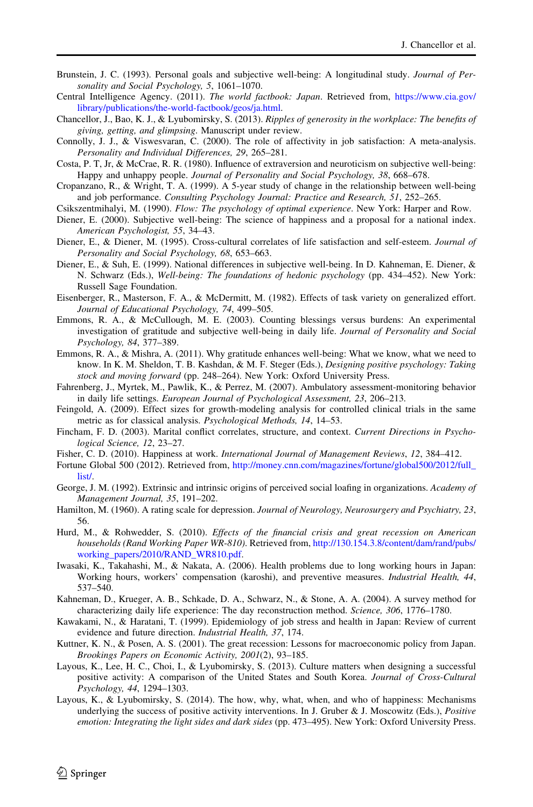- <span id="page-15-0"></span>Brunstein, J. C. (1993). Personal goals and subjective well-being: A longitudinal study. Journal of Personality and Social Psychology, 5, 1061–1070.
- Central Intelligence Agency. (2011). The world factbook: Japan. Retrieved from, [https://www.cia.gov/](https://www.cia.gov/library/publications/the-world-factbook/geos/ja.html) [library/publications/the-world-factbook/geos/ja.html](https://www.cia.gov/library/publications/the-world-factbook/geos/ja.html).
- Chancellor, J., Bao, K. J., & Lyubomirsky, S. (2013). Ripples of generosity in the workplace: The benefits of giving, getting, and glimpsing. Manuscript under review.
- Connolly, J. J., & Viswesvaran, C. (2000). The role of affectivity in job satisfaction: A meta-analysis. Personality and Individual Differences, 29, 265–281.
- Costa, P. T, Jr, & McCrae, R. R. (1980). Influence of extraversion and neuroticism on subjective well-being: Happy and unhappy people. Journal of Personality and Social Psychology, 38, 668–678.
- Cropanzano, R., & Wright, T. A. (1999). A 5-year study of change in the relationship between well-being and job performance. Consulting Psychology Journal: Practice and Research, 51, 252–265.
- Csikszentmihalyi, M. (1990). Flow: The psychology of optimal experience. New York: Harper and Row.
- Diener, E. (2000). Subjective well-being: The science of happiness and a proposal for a national index. American Psychologist, 55, 34–43.
- Diener, E., & Diener, M. (1995). Cross-cultural correlates of life satisfaction and self-esteem. Journal of Personality and Social Psychology, 68, 653–663.
- Diener, E., & Suh, E. (1999). National differences in subjective well-being. In D. Kahneman, E. Diener, & N. Schwarz (Eds.), Well-being: The foundations of hedonic psychology (pp. 434–452). New York: Russell Sage Foundation.
- Eisenberger, R., Masterson, F. A., & McDermitt, M. (1982). Effects of task variety on generalized effort. Journal of Educational Psychology, 74, 499–505.
- Emmons, R. A., & McCullough, M. E. (2003). Counting blessings versus burdens: An experimental investigation of gratitude and subjective well-being in daily life. Journal of Personality and Social Psychology, 84, 377–389.
- Emmons, R. A., & Mishra, A. (2011). Why gratitude enhances well-being: What we know, what we need to know. In K. M. Sheldon, T. B. Kashdan, & M. F. Steger (Eds.), Designing positive psychology: Taking stock and moving forward (pp. 248–264). New York: Oxford University Press.
- Fahrenberg, J., Myrtek, M., Pawlik, K., & Perrez, M. (2007). Ambulatory assessment-monitoring behavior in daily life settings. European Journal of Psychological Assessment, 23, 206–213.
- Feingold, A. (2009). Effect sizes for growth-modeling analysis for controlled clinical trials in the same metric as for classical analysis. Psychological Methods, 14, 14–53.
- Fincham, F. D. (2003). Marital conflict correlates, structure, and context. Current Directions in Psychological Science, 12, 23–27.
- Fisher, C. D. (2010). Happiness at work. International Journal of Management Reviews, 12, 384–412.
- Fortune Global 500 (2012). Retrieved from, [http://money.cnn.com/magazines/fortune/global500/2012/full\\_](http://money.cnn.com/magazines/fortune/global500/2012/full_list/) [list/.](http://money.cnn.com/magazines/fortune/global500/2012/full_list/)
- George, J. M. (1992). Extrinsic and intrinsic origins of perceived social loafing in organizations. Academy of Management Journal, 35, 191–202.
- Hamilton, M. (1960). A rating scale for depression. Journal of Neurology, Neurosurgery and Psychiatry, 23, 56.
- Hurd, M., & Rohwedder, S. (2010). Effects of the financial crisis and great recession on American households (Rand Working Paper WR-810). Retrieved from, [http://130.154.3.8/content/dam/rand/pubs/](http://130.154.3.8/content/dam/rand/pubs/working_papers/2010/RAND_WR810.pdf) [working\\_papers/2010/RAND\\_WR810.pdf](http://130.154.3.8/content/dam/rand/pubs/working_papers/2010/RAND_WR810.pdf).
- Iwasaki, K., Takahashi, M., & Nakata, A. (2006). Health problems due to long working hours in Japan: Working hours, workers' compensation (karoshi), and preventive measures. Industrial Health, 44, 537–540.
- Kahneman, D., Krueger, A. B., Schkade, D. A., Schwarz, N., & Stone, A. A. (2004). A survey method for characterizing daily life experience: The day reconstruction method. Science, 306, 1776–1780.
- Kawakami, N., & Haratani, T. (1999). Epidemiology of job stress and health in Japan: Review of current evidence and future direction. Industrial Health, 37, 174.
- Kuttner, K. N., & Posen, A. S. (2001). The great recession: Lessons for macroeconomic policy from Japan. Brookings Papers on Economic Activity, 2001(2), 93–185.
- Layous, K., Lee, H. C., Choi, I., & Lyubomirsky, S. (2013). Culture matters when designing a successful positive activity: A comparison of the United States and South Korea. Journal of Cross-Cultural Psychology, 44, 1294–1303.
- Layous, K., & Lyubomirsky, S. (2014). The how, why, what, when, and who of happiness: Mechanisms underlying the success of positive activity interventions. In J. Gruber & J. Moscowitz (Eds.), Positive emotion: Integrating the light sides and dark sides (pp. 473–495). New York: Oxford University Press.